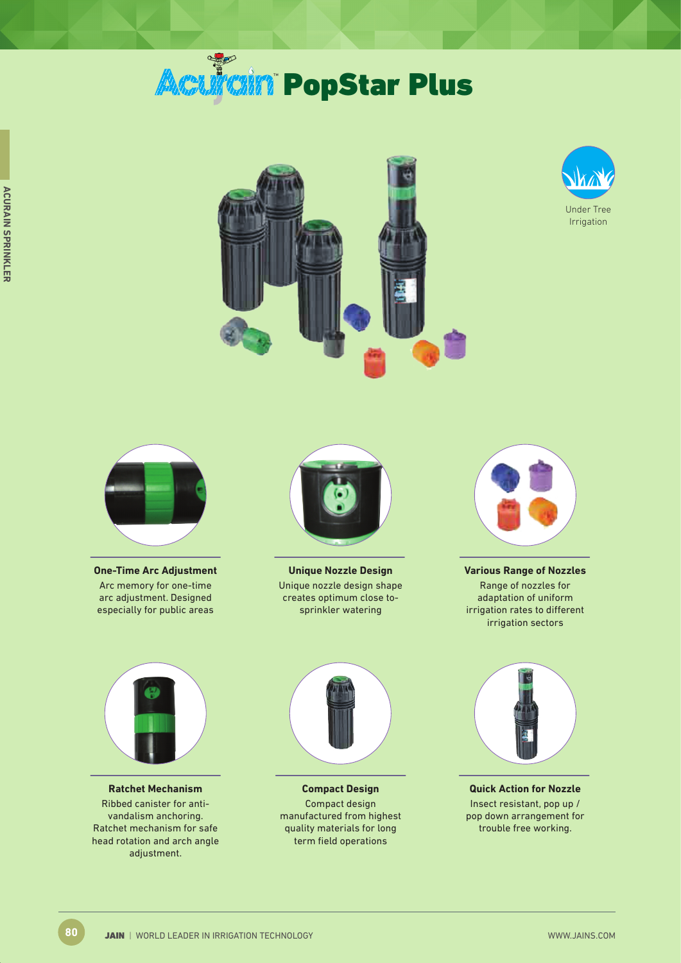# **Acuitain PopStar Plus**







**One-Time Arc Adjustment** Arc memory for one-time arc adjustment. Designed especially for public areas



**Unique Nozzle Design** Unique nozzle design shape creates optimum close tosprinkler watering



**Various Range of Nozzles** Range of nozzles for adaptation of uniform irrigation rates to different irrigation sectors



**Ratchet Mechanism** Ribbed canister for antivandalism anchoring. Ratchet mechanism for safe head rotation and arch angle adjustment.



**Compact Design** Compact design manufactured from highest quality materials for long term field operations



**Quick Action for Nozzle** Insect resistant, pop up / pop down arrangement for trouble free working.